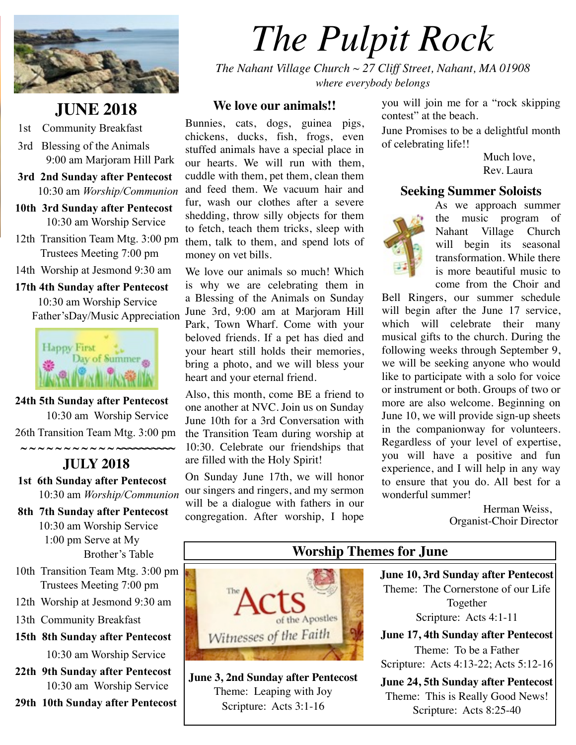

# **JUNE 2018**

- 1st Community Breakfast
- 3rd Blessing of the Animals 9:00 am Marjoram Hill Park
- **3rd 2nd Sunday after Pentecost**  10:30 am *Worship/Communion*
- **10th 3rd Sunday after Pentecost**  10:30 am Worship Service
- 12th Transition Team Mtg. 3:00 pm Trustees Meeting 7:00 pm
- 14th Worship at Jesmond 9:30 am

**17th 4th Sunday after Pentecost** 10:30 am Worship Service Father'sDay/Music Appreciation



**24th 5th Sunday after Pentecost** 10:30 am Worship Service 26th Transition Team Mtg. 3:00 pm  **~ ~ ~ ~ ~ ~ ~ ~ ~ ~ ~ ~~~~~~~~~~**

## **JULY 2018**

- **1st 6th Sunday after Pentecost**  10:30 am *Worship/Communion*
- **8th 7th Sunday after Pentecost**  10:30 am Worship Service 1:00 pm Serve at My Brother's Table
- 10th Transition Team Mtg. 3:00 pm Trustees Meeting 7:00 pm
- 12th Worship at Jesmond 9:30 am
- 13th Community Breakfast
- **15th 8th Sunday after Pentecost** 10:30 am Worship Service
- **22th 9th Sunday after Pentecost**  10:30 am Worship Service
- **29th 10th Sunday after Pentecost**

# *The Pulpit Rock*

*The Nahant Village Church ~ 27 Cliff Street, Nahant, MA 01908 where everybody belongs*

#### **We love our animals!!**

Bunnies, cats, dogs, guinea pigs, chickens, ducks, fish, frogs, even stuffed animals have a special place in our hearts. We will run with them, cuddle with them, pet them, clean them and feed them. We vacuum hair and fur, wash our clothes after a severe shedding, throw silly objects for them to fetch, teach them tricks, sleep with them, talk to them, and spend lots of money on vet bills.

We love our animals so much! Which is why we are celebrating them in a Blessing of the Animals on Sunday June 3rd, 9:00 am at Marjoram Hill Park, Town Wharf. Come with your beloved friends. If a pet has died and your heart still holds their memories, bring a photo, and we will bless your heart and your eternal friend.

Also, this month, come BE a friend to one another at NVC. Join us on Sunday June 10th for a 3rd Conversation with the Transition Team during worship at 10:30. Celebrate our friendships that are filled with the Holy Spirit!

On Sunday June 17th, we will honor our singers and ringers, and my sermon will be a dialogue with fathers in our congregation. After worship, I hope

you will join me for a "rock skipping contest" at the beach.

June Promises to be a delightful month of celebrating life!!

> Much love. Rev. Laura

#### **Seeking Summer Soloists**



As we approach summer the music program of Nahant Village Church will begin its seasonal transformation. While there is more beautiful music to come from the Choir and

Bell Ringers, our summer schedule will begin after the June 17 service, which will celebrate their many musical gifts to the church. During the following weeks through September 9, we will be seeking anyone who would like to participate with a solo for voice or instrument or both. Groups of two or more are also welcome. Beginning on June 10, we will provide sign-up sheets in the companionway for volunteers. Regardless of your level of expertise, you will have a positive and fun experience, and I will help in any way to ensure that you do. All best for a wonderful summer!

> Herman Weiss, Organist-Choir Director

# of the Apostles Witnesses of the Faith

**June 3, 2nd Sunday after Pentecost** Theme: Leaping with Joy Scripture: Acts 3:1-16

#### **Worship Themes for June**

**June 10, 3rd Sunday after Pentecost** Theme: The Cornerstone of our Life Together Scripture: Acts 4:1-11

**June 17, 4th Sunday after Pentecost** Theme: To be a Father Scripture: Acts 4:13-22; Acts 5:12-16

**June 24, 5th Sunday after Pentecost** Theme: This is Really Good News! Scripture: Acts 8:25-40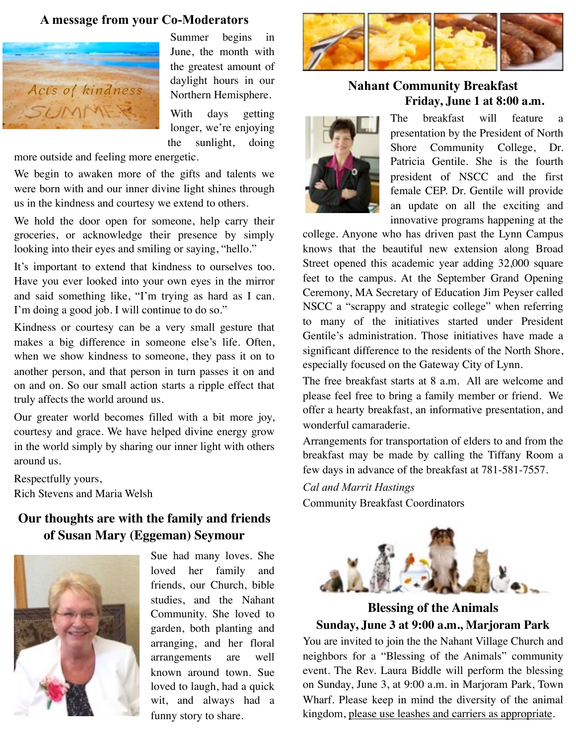#### **A message from your Co-Moderators**



Summer begins in June, the month with the greatest amount of daylight hours in our Northern Hemisphere.

With days getting longer, we're enjoying the sunlight, doing

more outside and feeling more energetic.

We begin to awaken more of the gifts and talents we were born with and our inner divine light shines through us in the kindness and courtesy we extend to others.

We hold the door open for someone, help carry their groceries, or acknowledge their presence by simply looking into their eyes and smiling or saying, "hello."

It's important to extend that kindness to ourselves too. Have you ever looked into your own eyes in the mirror and said something like, "I'm trying as hard as I can. I'm doing a good job. I will continue to do so."

Kindness or courtesy can be a very small gesture that makes a big difference in someone else's life. Often, when we show kindness to someone, they pass it on to another person, and that person in turn passes it on and on and on. So our small action starts a ripple effect that truly affects the world around us.

Our greater world becomes filled with a bit more joy, courtesy and grace. We have helped divine energy grow in the world simply by sharing our inner light with others around us.

Respectfully yours, Rich Stevens and Maria Welsh

#### **Our thoughts are with the family and friends of Susan Mary (Eggeman) Seymour**



Sue had many loves. She loved her family and friends, our Church, bible studies, and the Nahant Community. She loved to garden, both planting and arranging, and her floral arrangements are well known around town. Sue loved to laugh, had a quick wit, and always had a funny story to share.



#### **Nahant Community Breakfast Friday, June 1 at 8:00 a.m.**



The breakfast will feature a presentation by the President of North Shore Community College, Dr. Patricia Gentile. She is the fourth president of NSCC and the first female CEP. Dr. Gentile will provide an update on all the exciting and innovative programs happening at the

college. Anyone who has driven past the Lynn Campus knows that the beautiful new extension along Broad Street opened this academic year adding 32,000 square feet to the campus. At the September Grand Opening Ceremony, MA Secretary of Education Jim Peyser called NSCC a "scrappy and strategic college" when referring to many of the initiatives started under President Gentile's administration. Those initiatives have made a significant difference to the residents of the North Shore, especially focused on the Gateway City of Lynn.

The free breakfast starts at 8 a.m. All are welcome and please feel free to bring a family member or friend. We offer a hearty breakfast, an informative presentation, and wonderful camaraderie.

Arrangements for transportation of elders to and from the breakfast may be made by calling the Tiffany Room a few days in advance of the breakfast at 781-581-7557.

*Cal and Marrit Hastings*

Community Breakfast Coordinators



**Blessing of the Animals Sunday, June 3 at 9:00 a.m., Marjoram Park**

You are invited to join the the Nahant Village Church and neighbors for a "Blessing of the Animals" community event. The Rev. Laura Biddle will perform the blessing on Sunday, June 3, at 9:00 a.m. in Marjoram Park, Town Wharf. Please keep in mind the diversity of the animal kingdom, please use leashes and carriers as appropriate.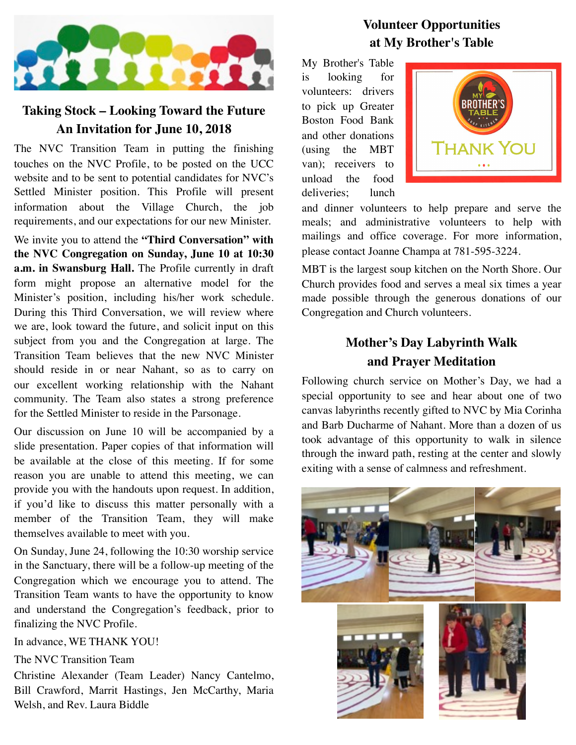

# **Taking Stock – Looking Toward the Future An Invitation for June 10, 2018**

The NVC Transition Team in putting the finishing touches on the NVC Profile, to be posted on the UCC website and to be sent to potential candidates for NVC's Settled Minister position. This Profile will present information about the Village Church, the job requirements, and our expectations for our new Minister.

We invite you to attend the **"Third Conversation" with the NVC Congregation on Sunday, June 10 at 10:30 a.m. in Swansburg Hall.** The Profile currently in draft form might propose an alternative model for the Minister's position, including his/her work schedule. During this Third Conversation, we will review where we are, look toward the future, and solicit input on this subject from you and the Congregation at large. The Transition Team believes that the new NVC Minister should reside in or near Nahant, so as to carry on our excellent working relationship with the Nahant community. The Team also states a strong preference for the Settled Minister to reside in the Parsonage.

Our discussion on June 10 will be accompanied by a slide presentation. Paper copies of that information will be available at the close of this meeting. If for some reason you are unable to attend this meeting, we can provide you with the handouts upon request. In addition, if you'd like to discuss this matter personally with a member of the Transition Team, they will make themselves available to meet with you.

On Sunday, June 24, following the 10:30 worship service in the Sanctuary, there will be a follow-up meeting of the Congregation which we encourage you to attend. The Transition Team wants to have the opportunity to know and understand the Congregation's feedback, prior to finalizing the NVC Profile.

In advance, WE THANK YOU!

The NVC Transition Team

Christine Alexander (Team Leader) Nancy Cantelmo, Bill Crawford, Marrit Hastings, Jen McCarthy, Maria Welsh, and Rev. Laura Biddle

# **Volunteer Opportunities at My Brother's Table**

My Brother's Table is looking for volunteers: drivers to pick up Greater Boston Food Bank and other donations (using the MBT van); receivers to unload the food deliveries; lunch



and dinner volunteers to help prepare and serve the meals; and administrative volunteers to help with mailings and office coverage. For more information, please contact Joanne Champa at 781-595-3224.

MBT is the largest soup kitchen on the North Shore. Our Church provides food and serves a meal six times a year made possible through the generous donations of our Congregation and Church volunteers.

# **Mother's Day Labyrinth Walk and Prayer Meditation**

Following church service on Mother's Day, we had a special opportunity to see and hear about one of two canvas labyrinths recently gifted to NVC by Mia Corinha and Barb Ducharme of Nahant. More than a dozen of us took advantage of this opportunity to walk in silence through the inward path, resting at the center and slowly exiting with a sense of calmness and refreshment.